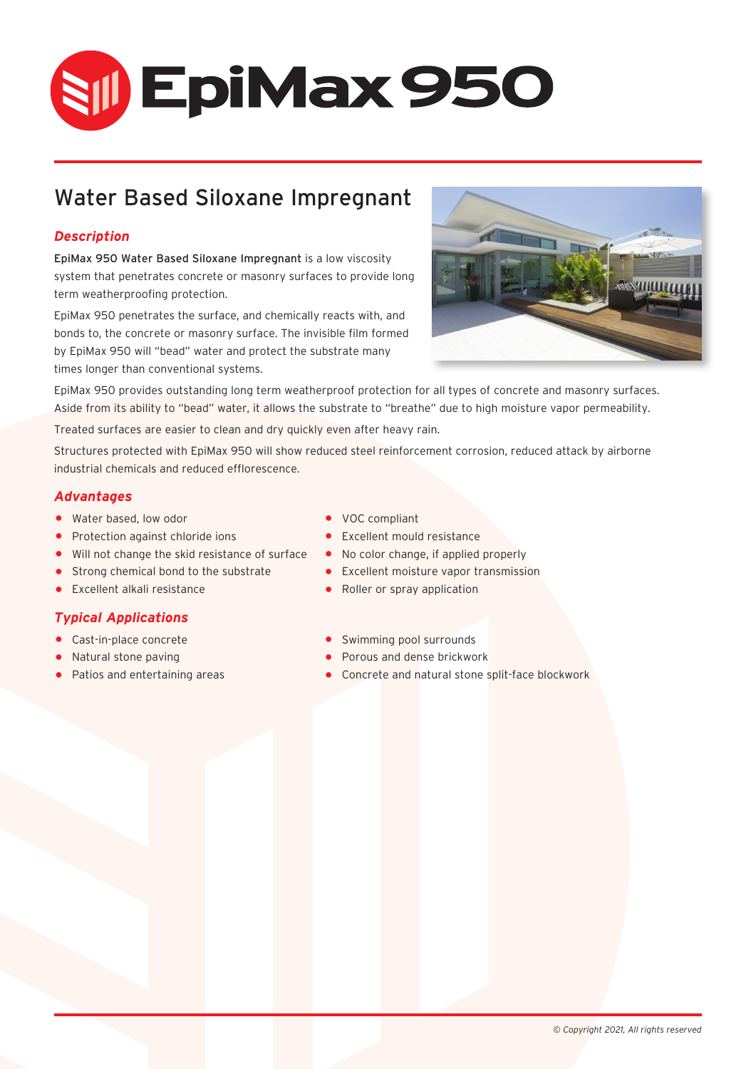# **SII) EpiMax 950**

## Water Based Siloxane Impregnant

### *Description*

EpiMax 950 Water Based Siloxane Impregnant is a low viscosity system that penetrates concrete or masonry surfaces to provide long term weatherproofing protection.

EpiMax 950 penetrates the surface, and chemically reacts with, and bonds to, the concrete or masonry surface. The invisible film formed by EpiMax 950 will "bead" water and protect the substrate many times longer than conventional systems.



EpiMax 950 provides outstanding long term weatherproof protection for all types of concrete and masonry surfaces. Aside from its ability to "bead" water, it allows the substrate to "breathe" due to high moisture vapor permeability.

Treated surfaces are easier to clean and dry quickly even after heavy rain.

Structures protected with EpiMax 950 will show reduced steel reinforcement corrosion, reduced attack by airborne industrial chemicals and reduced efflorescence.

#### *Advantages*

- 
- Water based, low odor **•** VOC compliant<br>• Protection against chloride ions Excellent mould resistance
- **Protection against chloride ions** Excellent mould resistance  **Will not change the skid resistance of surface** No color change, if applied properly
- Will not change the skid resistance of surface<br>• Strong chemical bond to the substrate
- 

#### *Typical Applications*

- 
- 
- Natural stone paving<br>• Patios and entertaining areas
- 
- 
- 
- Strong chemical bond to the substrate Excellent moisture vapor transmission<br>• Excellent alkali resistance • • • Roller or spray application
	- Roller or spray application
- Cast-in-place concrete Cast-in-place concrete Swimming pool surrounds<br>• Natural stone paving Cast Concrete Porous and dense brickwork
	-
	- Concrete and natural stone split-face blockwork